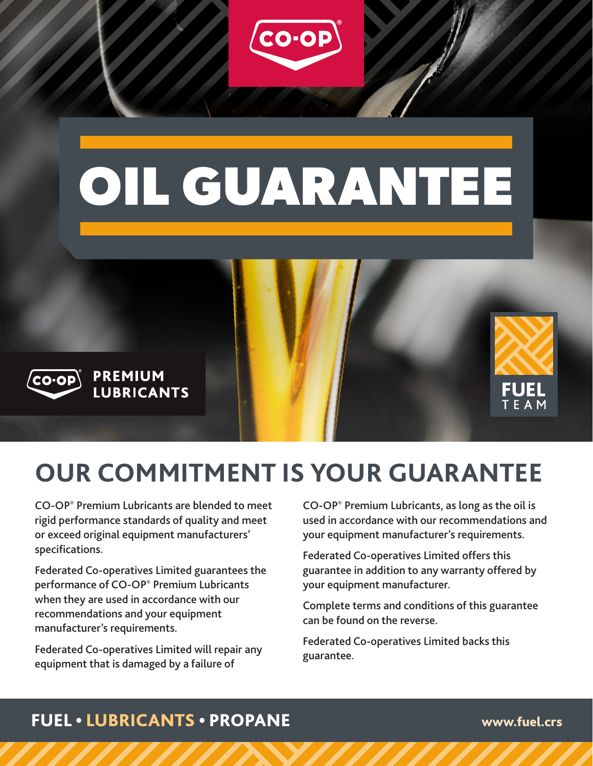

# **OUR COMMITMENT IS YOUR GUARANTEE**

CO-OP® Premium Lubricants are blended to meet rigid performance standards of quality and meet or exceed original equipment manufacturers' specifications.

Federated Co-operatives Limited guarantees the performance of CO-OP® Premium Lubricants when they are used in accordance with our recommendations and your equipment manufacturer's requirements.

Federated Co-operatives Limited will repair any equipment that is damaged by a failure of

CO-OP® Premium Lubricants, as long as the oil is used in accordance with our recommendations and your equipment manufacturer's requirements.

Federated Co-operatives Limited offers this guarantee in addition to any warranty offered by your equipment manufacturer.

Complete terms and conditions of this guarantee can be found on the reverse.

Federated Co-operatives Limited backs this guarantee.

#### FUEL • LUBRICANTS • PROPANE www.fuel.crs